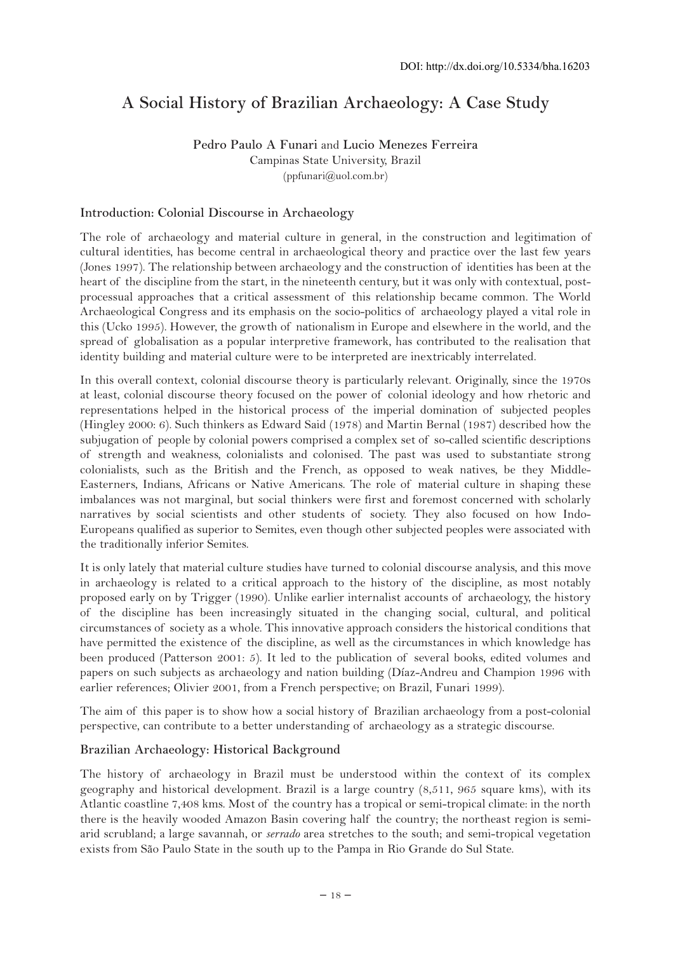# **A Social History of Brazilian Archaeology: A Case Study**

## **Pedro Paulo A Funari** and **Lucio Menezes Ferreira**

Campinas State University, Brazil  $(ppfunari@uol.com.br)$ 

# **Introduction: Colonial Discourse in Archaeology**

The role of archaeology and material culture in general, in the construction and legitimation of cultural identities, has become central in archaeological theory and practice over the last few years (Jones 1997). The relationship between archaeology and the construction of identities has been at the heart of the discipline from the start, in the nineteenth century, but it was only with contextual, postprocessual approaches that a critical assessment of this relationship became common. The World Archaeological Congress and its emphasis on the socio-politics of archaeology played a vital role in this (Ucko 1995). However, the growth of nationalism in Europe and elsewhere in the world, and the spread of globalisation as a popular interpretive framework, has contributed to the realisation that identity building and material culture were to be interpreted are inextricably interrelated.

In this overall context, colonial discourse theory is particularly relevant. Originally, since the 1970s at least, colonial discourse theory focused on the power of colonial ideology and how rhetoric and representations helped in the historical process of the imperial domination of subjected peoples (Hingley 2000: 6). Such thinkers as Edward Said (1978) and Martin Bernal (1987) described how the subjugation of people by colonial powers comprised a complex set of so-called scientific descriptions of strength and weakness, colonialists and colonised. The past was used to substantiate strong colonialists, such as the British and the French, as opposed to weak natives, be they Middle-Easterners, Indians, Africans or Native Americans. The role of material culture in shaping these imbalances was not marginal, but social thinkers were first and foremost concerned with scholarly narratives by social scientists and other students of society. They also focused on how Indo-Europeans qualified as superior to Semites, even though other subjected peoples were associated with the traditionally inferior Semites.

It is only lately that material culture studies have turned to colonial discourse analysis, and this move in archaeology is related to a critical approach to the history of the discipline, as most notably proposed early on by Trigger (1990). Unlike earlier internalist accounts of archaeology, the history of the discipline has been increasingly situated in the changing social, cultural, and political circumstances of society as a whole. This innovative approach considers the historical conditions that have permitted the existence of the discipline, as well as the circumstances in which knowledge has been produced (Patterson 2001: 5). It led to the publication of several books, edited volumes and papers on such subjects as archaeology and nation building (Díaz-Andreu and Champion 1996 with earlier references; Olivier 2001, from a French perspective; on Brazil, Funari 1999).

The aim of this paper is to show how a social history of Brazilian archaeology from a post-colonial perspective, can contribute to a better understanding of archaeology as a strategic discourse.

### **Brazilian Archaeology: Historical Background**

The history of archaeology in Brazil must be understood within the context of its complex geography and historical development. Brazil is a large country (8,511, 965 square kms), with its Atlantic coastline 7,408 kms. Most of the country has a tropical or semi-tropical climate: in the north there is the heavily wooded Amazon Basin covering half the country; the northeast region is semiarid scrubland; a large savannah, or *serrado* area stretches to the south; and semi-tropical vegetation exists from São Paulo State in the south up to the Pampa in Rio Grande do Sul State.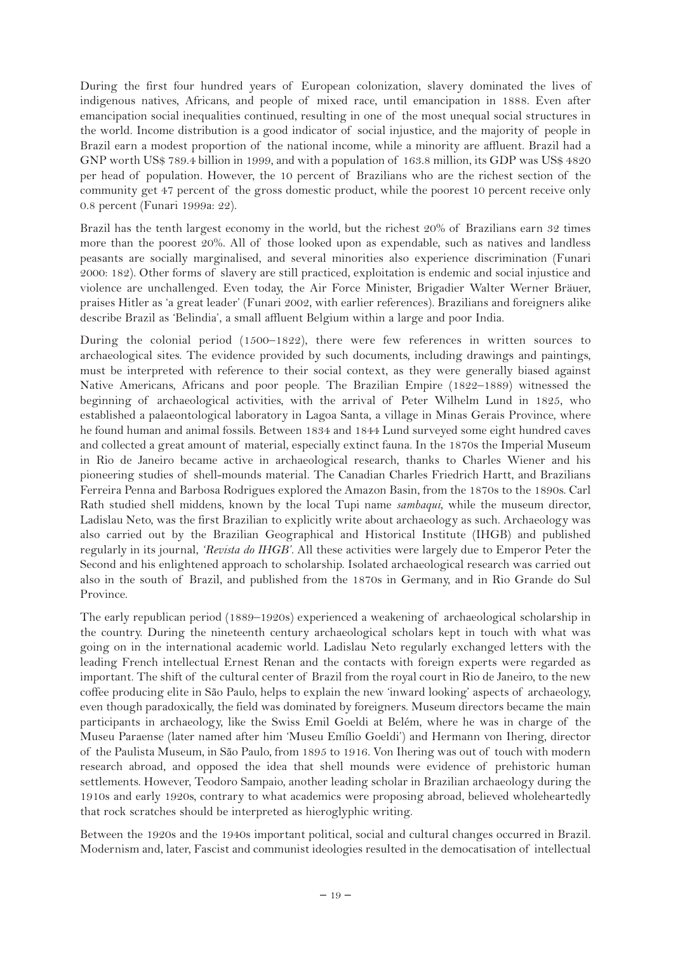During the first four hundred years of European colonization, slavery dominated the lives of indigenous natives, Africans, and people of mixed race, until emancipation in 1888. Even after emancipation social inequalities continued, resulting in one of the most unequal social structures in the world. Income distribution is a good indicator of social injustice, and the majority of people in Brazil earn a modest proportion of the national income, while a minority are affluent. Brazil had a GNP worth US\$ 789.4 billion in 1999, and with a population of 163.8 million, its GDP was US\$ 4820 per head of population. However, the 10 percent of Brazilians who are the richest section of the community get 47 percent of the gross domestic product, while the poorest 10 percent receive only 0.8 percent (Funari 1999a: 22).

Brazil has the tenth largest economy in the world, but the richest 20% of Brazilians earn 32 times more than the poorest 20%. All of those looked upon as expendable, such as natives and landless peasants are socially marginalised, and several minorities also experience discrimination (Funari 2000: 182). Other forms of slavery are still practiced, exploitation is endemic and social injustice and violence are unchallenged. Even today, the Air Force Minister, Brigadier Walter Werner Bräuer, praises Hitler as 'a great leader' (Funari 2002, with earlier references). Brazilians and foreigners alike describe Brazil as 'Belindia', a small affluent Belgium within a large and poor India.

During the colonial period (1500–1822), there were few references in written sources to archaeological sites. The evidence provided by such documents, including drawings and paintings, must be interpreted with reference to their social context, as they were generally biased against Native Americans, Africans and poor people. The Brazilian Empire (1822–1889) witnessed the beginning of archaeological activities, with the arrival of Peter Wilhelm Lund in 1825, who established a palaeontological laboratory in Lagoa Santa, a village in Minas Gerais Province, where he found human and animal fossils. Between 1834 and 1844 Lund surveyed some eight hundred caves and collected a great amount of material, especially extinct fauna. In the 1870s the Imperial Museum in Rio de Janeiro became active in archaeological research, thanks to Charles Wiener and his pioneering studies of shell-mounds material. The Canadian Charles Friedrich Hartt, and Brazilians Ferreira Penna and Barbosa Rodrigues explored the Amazon Basin, from the 1870s to the 1890s. Carl Rath studied shell middens, known by the local Tupi name *sambaqui*, while the museum director, Ladislau Neto, was the first Brazilian to explicitly write about archaeology as such. Archaeology was also carried out by the Brazilian Geographical and Historical Institute (IHGB) and published regularly in its journal, *'Revista do IHGB'*. All these activities were largely due to Emperor Peter the Second and his enlightened approach to scholarship. Isolated archaeological research was carried out also in the south of Brazil, and published from the 1870s in Germany, and in Rio Grande do Sul Province.

The early republican period (1889–1920s) experienced a weakening of archaeological scholarship in the country. During the nineteenth century archaeological scholars kept in touch with what was going on in the international academic world. Ladislau Neto regularly exchanged letters with the leading French intellectual Ernest Renan and the contacts with foreign experts were regarded as important. The shift of the cultural center of Brazil from the royal court in Rio de Janeiro, to the new coffee producing elite in São Paulo, helps to explain the new 'inward looking' aspects of archaeology, even though paradoxically, the field was dominated by foreigners. Museum directors became the main participants in archaeology, like the Swiss Emil Goeldi at Belém, where he was in charge of the Museu Paraense (later named after him 'Museu Emílio Goeldi') and Hermann von Ihering, director of the Paulista Museum, in São Paulo, from 1895 to 1916. Von Ihering was out of touch with modern research abroad, and opposed the idea that shell mounds were evidence of prehistoric human settlements. However, Teodoro Sampaio, another leading scholar in Brazilian archaeology during the 1910s and early 1920s, contrary to what academics were proposing abroad, believed wholeheartedly that rock scratches should be interpreted as hieroglyphic writing.

Between the 1920s and the 1940s important political, social and cultural changes occurred in Brazil. Modernism and, later, Fascist and communist ideologies resulted in the democatisation of intellectual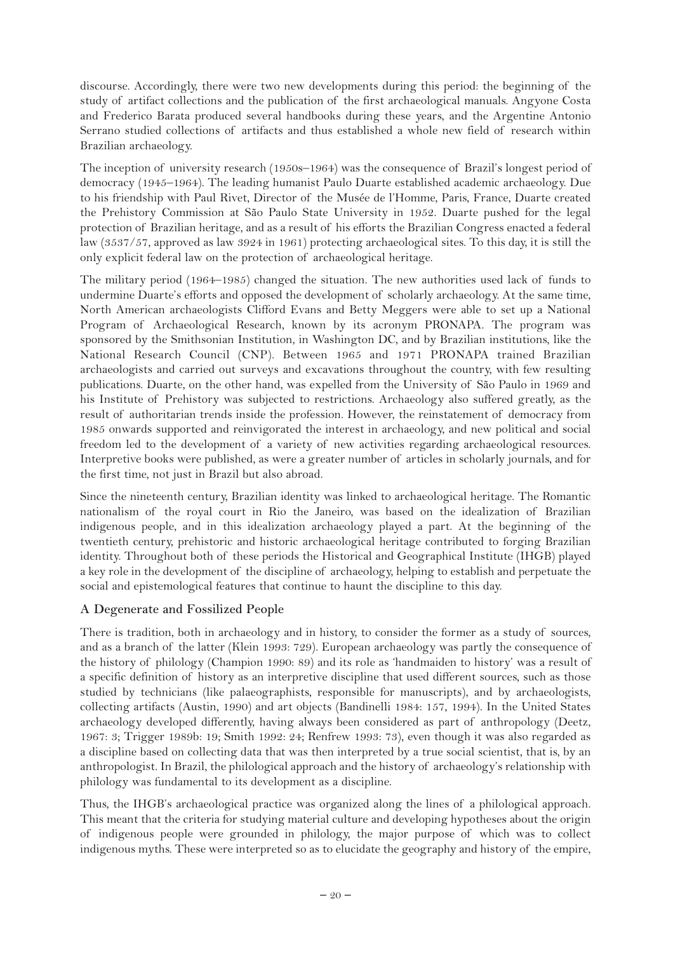discourse. Accordingly, there were two new developments during this period: the beginning of the study of artifact collections and the publication of the first archaeological manuals. Angyone Costa and Frederico Barata produced several handbooks during these years, and the Argentine Antonio Serrano studied collections of artifacts and thus established a whole new field of research within Brazilian archaeology.

The inception of university research (1950s–1964) was the consequence of Brazil's longest period of democracy (1945–1964). The leading humanist Paulo Duarte established academic archaeology. Due to his friendship with Paul Rivet, Director of the Musée de l'Homme, Paris, France, Duarte created the Prehistory Commission at São Paulo State University in 1952. Duarte pushed for the legal protection of Brazilian heritage, and as a result of his efforts the Brazilian Congress enacted a federal law (3537/57, approved as law 3924 in 1961) protecting archaeological sites. To this day, it is still the only explicit federal law on the protection of archaeological heritage.

The military period (1964–1985) changed the situation. The new authorities used lack of funds to undermine Duarte's efforts and opposed the development of scholarly archaeology. At the same time, North American archaeologists Clifford Evans and Betty Meggers were able to set up a National Program of Archaeological Research, known by its acronym PRONAPA. The program was sponsored by the Smithsonian Institution, in Washington DC, and by Brazilian institutions, like the National Research Council (CNP). Between 1965 and 1971 PRONAPA trained Brazilian archaeologists and carried out surveys and excavations throughout the country, with few resulting publications. Duarte, on the other hand, was expelled from the University of São Paulo in 1969 and his Institute of Prehistory was subjected to restrictions. Archaeology also suffered greatly, as the result of authoritarian trends inside the profession. However, the reinstatement of democracy from 1985 onwards supported and reinvigorated the interest in archaeology, and new political and social freedom led to the development of a variety of new activities regarding archaeological resources. Interpretive books were published, as were a greater number of articles in scholarly journals, and for the first time, not just in Brazil but also abroad.

Since the nineteenth century, Brazilian identity was linked to archaeological heritage. The Romantic nationalism of the royal court in Rio the Janeiro, was based on the idealization of Brazilian indigenous people, and in this idealization archaeology played a part. At the beginning of the twentieth century, prehistoric and historic archaeological heritage contributed to forging Brazilian identity. Throughout both of these periods the Historical and Geographical Institute (IHGB) played a key role in the development of the discipline of archaeology, helping to establish and perpetuate the social and epistemological features that continue to haunt the discipline to this day.

### **A Degenerate and Fossilized People**

There is tradition, both in archaeology and in history, to consider the former as a study of sources, and as a branch of the latter (Klein 1993: 729). European archaeology was partly the consequence of the history of philology (Champion 1990: 89) and its role as 'handmaiden to history' was a result of a specific definition of history as an interpretive discipline that used different sources, such as those studied by technicians (like palaeographists, responsible for manuscripts), and by archaeologists, collecting artifacts (Austin, 1990) and art objects (Bandinelli 1984: 157, 1994). In the United States archaeology developed differently, having always been considered as part of anthropology (Deetz, 1967: 3; Trigger 1989b: 19; Smith 1992: 24; Renfrew 1993: 73), even though it was also regarded as a discipline based on collecting data that was then interpreted by a true social scientist, that is, by an anthropologist. In Brazil, the philological approach and the history of archaeology's relationship with philology was fundamental to its development as a discipline.

Thus, the IHGB's archaeological practice was organized along the lines of a philological approach. This meant that the criteria for studying material culture and developing hypotheses about the origin of indigenous people were grounded in philology, the major purpose of which was to collect indigenous myths. These were interpreted so as to elucidate the geography and history of the empire,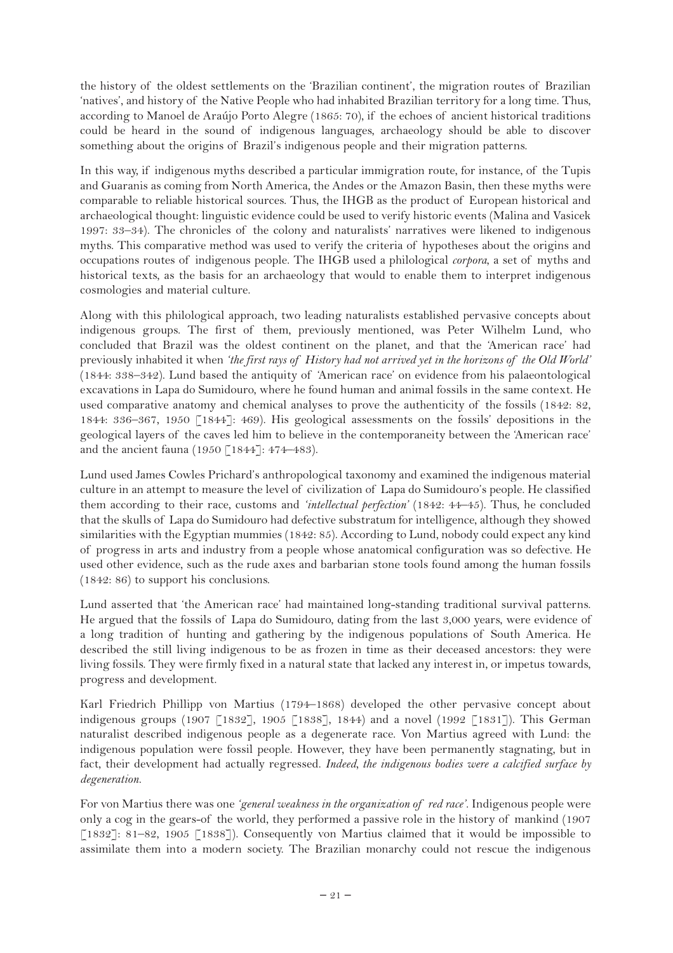the history of the oldest settlements on the 'Brazilian continent', the migration routes of Brazilian 'natives', and history of the Native People who had inhabited Brazilian territory for a long time. Thus, according to Manoel de Araújo Porto Alegre (1865: 70), if the echoes of ancient historical traditions could be heard in the sound of indigenous languages, archaeology should be able to discover something about the origins of Brazil's indigenous people and their migration patterns.

In this way, if indigenous myths described a particular immigration route, for instance, of the Tupis and Guaranis as coming from North America, the Andes or the Amazon Basin, then these myths were comparable to reliable historical sources. Thus, the IHGB as the product of European historical and archaeological thought: linguistic evidence could be used to verify historic events (Malina and Vasicek 1997: 33–34). The chronicles of the colony and naturalists' narratives were likened to indigenous myths. This comparative method was used to verify the criteria of hypotheses about the origins and occupations routes of indigenous people. The IHGB used a philological *corpora*, a set of myths and historical texts, as the basis for an archaeology that would to enable them to interpret indigenous cosmologies and material culture.

Along with this philological approach, two leading naturalists established pervasive concepts about indigenous groups. The first of them, previously mentioned, was Peter Wilhelm Lund, who concluded that Brazil was the oldest continent on the planet, and that the 'American race' had previously inhabited it when *'the first rays of History had not arrived yet in the horizons of the Old World'* (1844: 338–342). Lund based the antiquity of 'American race' on evidence from his palaeontological excavations in Lapa do Sumidouro, where he found human and animal fossils in the same context. He used comparative anatomy and chemical analyses to prove the authenticity of the fossils (1842: 82, 1844: 336–367, 1950 [1844]: 469). His geological assessments on the fossils' depositions in the geological layers of the caves led him to believe in the contemporaneity between the 'American race' and the ancient fauna (1950 [1844]: 474-483).

Lund used James Cowles Prichard's anthropological taxonomy and examined the indigenous material culture in an attempt to measure the level of civilization of Lapa do Sumidouro's people. He classified them according to their race, customs and *'intellectual perfection'* (1842: 44–45). Thus, he concluded that the skulls of Lapa do Sumidouro had defective substratum for intelligence, although they showed similarities with the Egyptian mummies (1842: 85). According to Lund, nobody could expect any kind of progress in arts and industry from a people whose anatomical configuration was so defective. He used other evidence, such as the rude axes and barbarian stone tools found among the human fossils (1842: 86) to support his conclusions.

Lund asserted that 'the American race' had maintained long-standing traditional survival patterns. He argued that the fossils of Lapa do Sumidouro, dating from the last 3,000 years, were evidence of a long tradition of hunting and gathering by the indigenous populations of South America. He described the still living indigenous to be as frozen in time as their deceased ancestors: they were living fossils. They were firmly fixed in a natural state that lacked any interest in, or impetus towards, progress and development.

Karl Friedrich Phillipp von Martius (1794–1868) developed the other pervasive concept about indigenous groups (1907 [1832], 1905 [1838], 1844) and a novel (1992 [1831]). This German naturalist described indigenous people as a degenerate race. Von Martius agreed with Lund: the indigenous population were fossil people. However, they have been permanently stagnating, but in fact, their development had actually regressed. *Indeed, the indigenous bodies were a calcified surface by degeneration.*

For von Martius there was one *'general weakness in the organization of red race'*. Indigenous people were only a cog in the gears-of the world, they performed a passive role in the history of mankind (1907 [1832]: 81–82, 1905 [1838]). Consequently von Martius claimed that it would be impossible to assimilate them into a modern society. The Brazilian monarchy could not rescue the indigenous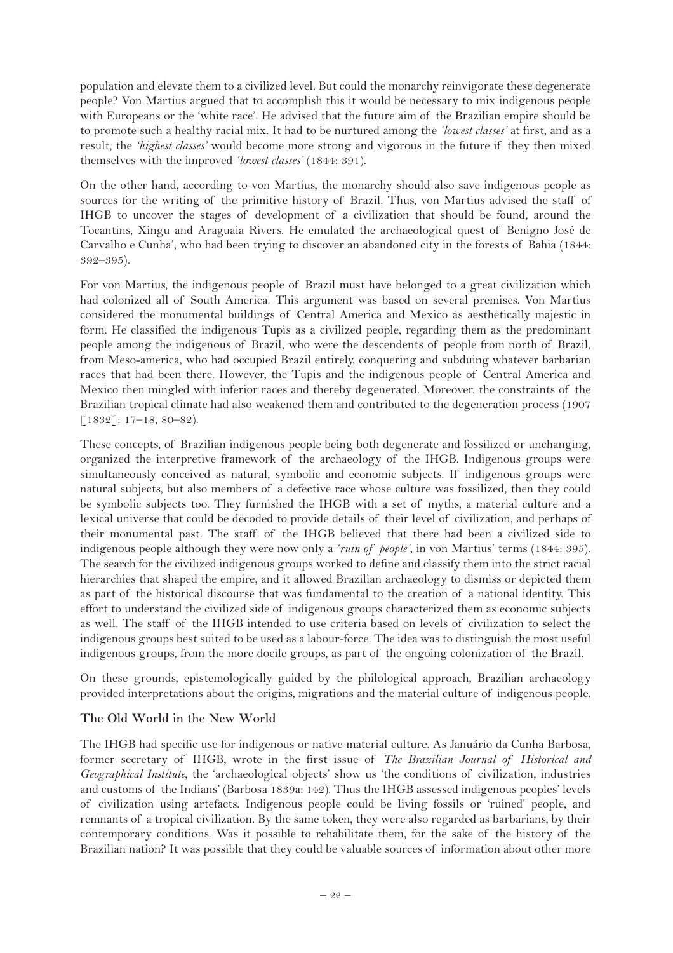population and elevate them to a civilized level. But could the monarchy reinvigorate these degenerate people? Von Martius argued that to accomplish this it would be necessary to mix indigenous people with Europeans or the 'white race'. He advised that the future aim of the Brazilian empire should be to promote such a healthy racial mix. It had to be nurtured among the *'lowest classes'* at first, and as a result, the *'highest classes'* would become more strong and vigorous in the future if they then mixed themselves with the improved *'lowest classes'* (1844: 391).

On the other hand, according to von Martius, the monarchy should also save indigenous people as sources for the writing of the primitive history of Brazil. Thus, von Martius advised the staff of IHGB to uncover the stages of development of a civilization that should be found, around the Tocantins, Xingu and Araguaia Rivers. He emulated the archaeological quest of Benigno José de Carvalho e Cunha', who had been trying to discover an abandoned city in the forests of Bahia (1844: 392–395).

For von Martius, the indigenous people of Brazil must have belonged to a great civilization which had colonized all of South America. This argument was based on several premises. Von Martius considered the monumental buildings of Central America and Mexico as aesthetically majestic in form. He classified the indigenous Tupis as a civilized people, regarding them as the predominant people among the indigenous of Brazil, who were the descendents of people from north of Brazil, from Meso-america, who had occupied Brazil entirely, conquering and subduing whatever barbarian races that had been there. However, the Tupis and the indigenous people of Central America and Mexico then mingled with inferior races and thereby degenerated. Moreover, the constraints of the Brazilian tropical climate had also weakened them and contributed to the degeneration process (1907 [1832]: 17–18, 80–82).

These concepts, of Brazilian indigenous people being both degenerate and fossilized or unchanging, organized the interpretive framework of the archaeology of the IHGB. Indigenous groups were simultaneously conceived as natural, symbolic and economic subjects. If indigenous groups were natural subjects, but also members of a defective race whose culture was fossilized, then they could be symbolic subjects too. They furnished the IHGB with a set of myths, a material culture and a lexical universe that could be decoded to provide details of their level of civilization, and perhaps of their monumental past. The staff of the IHGB believed that there had been a civilized side to indigenous people although they were now only a *'ruin of people'*, in von Martius' terms (1844: 395). The search for the civilized indigenous groups worked to define and classify them into the strict racial hierarchies that shaped the empire, and it allowed Brazilian archaeology to dismiss or depicted them as part of the historical discourse that was fundamental to the creation of a national identity. This effort to understand the civilized side of indigenous groups characterized them as economic subjects as well. The staff of the IHGB intended to use criteria based on levels of civilization to select the indigenous groups best suited to be used as a labour-force. The idea was to distinguish the most useful indigenous groups, from the more docile groups, as part of the ongoing colonization of the Brazil.

On these grounds, epistemologically guided by the philological approach, Brazilian archaeology provided interpretations about the origins, migrations and the material culture of indigenous people.

### **The Old World in the New World**

The IHGB had specific use for indigenous or native material culture. As Januário da Cunha Barbosa, former secretary of IHGB, wrote in the first issue of *The Brazilian Journal of Historical and Geographical Institute*, the 'archaeological objects' show us 'the conditions of civilization, industries and customs of the Indians' (Barbosa 1839a: 142). Thus the IHGB assessed indigenous peoples' levels of civilization using artefacts. Indigenous people could be living fossils or 'ruined' people, and remnants of a tropical civilization. By the same token, they were also regarded as barbarians, by their contemporary conditions. Was it possible to rehabilitate them, for the sake of the history of the Brazilian nation? It was possible that they could be valuable sources of information about other more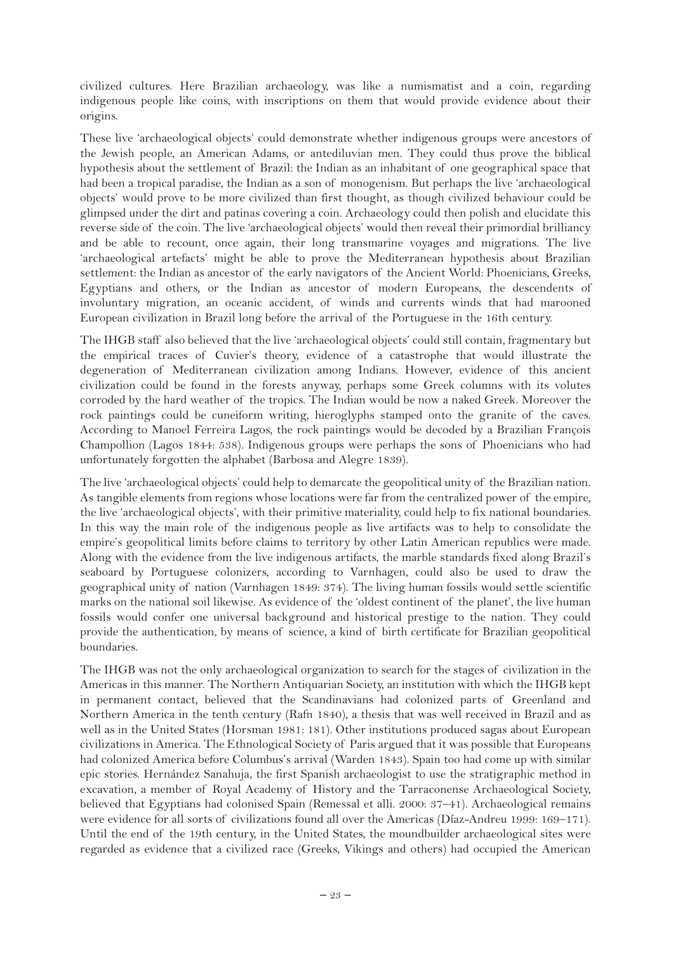civilized cultures. Here Brazilian archaeology, was like a numismatist and a coin, regarding indigenous people like coins, with inscriptions on them that would provide evidence about their origins.

These live 'archaeological objects' could demonstrate whether indigenous groups were ancestors of the Jewish people, an American Adams, or antediluvian men. They could thus prove the biblical hypothesis about the settlement of Brazil: the Indian as an inhabitant of one geographical space that had been a tropical paradise, the Indian as a son of monogenism. But perhaps the live 'archaeological objects' would prove to be more civilized than first thought, as though civilized behaviour could be glimpsed under the dirt and patinas covering a coin. Archaeology could then polish and elucidate this reverse side of the coin. The live 'archaeological objects' would then reveal their primordial brilliancy and be able to recount, once again, their long transmarine voyages and migrations. The live 'archaeological artefacts' might be able to prove the Mediterranean hypothesis about Brazilian settlement: the Indian as ancestor of the early navigators of the Ancient World: Phoenicians, Greeks, Egyptians and others, or the Indian as ancestor of modern Europeans, the descendents of involuntary migration, an oceanic accident, of winds and currents winds that had marooned European civilization in Brazil long before the arrival of the Portuguese in the 16th century.

The IHGB staff also believed that the live 'archaeological objects' could still contain, fragmentary but the empirical traces of Cuvier's theory, evidence of a catastrophe that would illustrate the degeneration of Mediterranean civilization among Indians. However, evidence of this ancient civilization could be found in the forests anyway, perhaps some Greek columns with its volutes corroded by the hard weather of the tropics. The Indian would be now a naked Greek. Moreover the rock paintings could be cuneiform writing, hieroglyphs stamped onto the granite of the caves. According to Manoel Ferreira Lagos, the rock paintings would be decoded by a Brazilian François Champollion (Lagos 1844: 538). Indigenous groups were perhaps the sons of Phoenicians who had unfortunately forgotten the alphabet (Barbosa and Alegre 1839).

The live 'archaeological objects' could help to demarcate the geopolitical unity of the Brazilian nation. As tangible elements from regions whose locations were far from the centralized power of the empire, the live 'archaeological objects', with their primitive materiality, could help to fix national boundaries. In this way the main role of the indigenous people as live artifacts was to help to consolidate the empire's geopolitical limits before claims to territory by other Latin American republics were made. Along with the evidence from the live indigenous artifacts, the marble standards fixed along Brazil's seaboard by Portuguese colonizers, according to Varnhagen, could also be used to draw the geographical unity of nation (Varnhagen 1849: 374). The living human fossils would settle scientific marks on the national soil likewise. As evidence of the 'oldest continent of the planet', the live human fossils would confer one universal background and historical prestige to the nation. They could provide the authentication, by means of science, a kind of birth certificate for Brazilian geopolitical boundaries.

The IHGB was not the only archaeological organization to search for the stages of civilization in the Americas in this manner. The Northern Antiquarian Society, an institution with which the IHGB kept in permanent contact, believed that the Scandinavians had colonized parts of Greenland and Northern America in the tenth century (Rafn 1840), a thesis that was well received in Brazil and as well as in the United States (Horsman 1981: 181). Other institutions produced sagas about European civilizations in America. The Ethnological Society of Paris argued that it was possible that Europeans had colonized America before Columbus's arrival (Warden 1843). Spain too had come up with similar epic stories. Hernández Sanahuja, the first Spanish archaeologist to use the stratigraphic method in excavation, a member of Royal Academy of History and the Tarraconense Archaeological Society, believed that Egyptians had colonised Spain (Remessal et alli. 2000: 37–41). Archaeological remains were evidence for all sorts of civilizations found all over the Americas (Díaz-Andreu 1999: 169–171). Until the end of the 19th century, in the United States, the moundbuilder archaeological sites were regarded as evidence that a civilized race (Greeks, Vikings and others) had occupied the American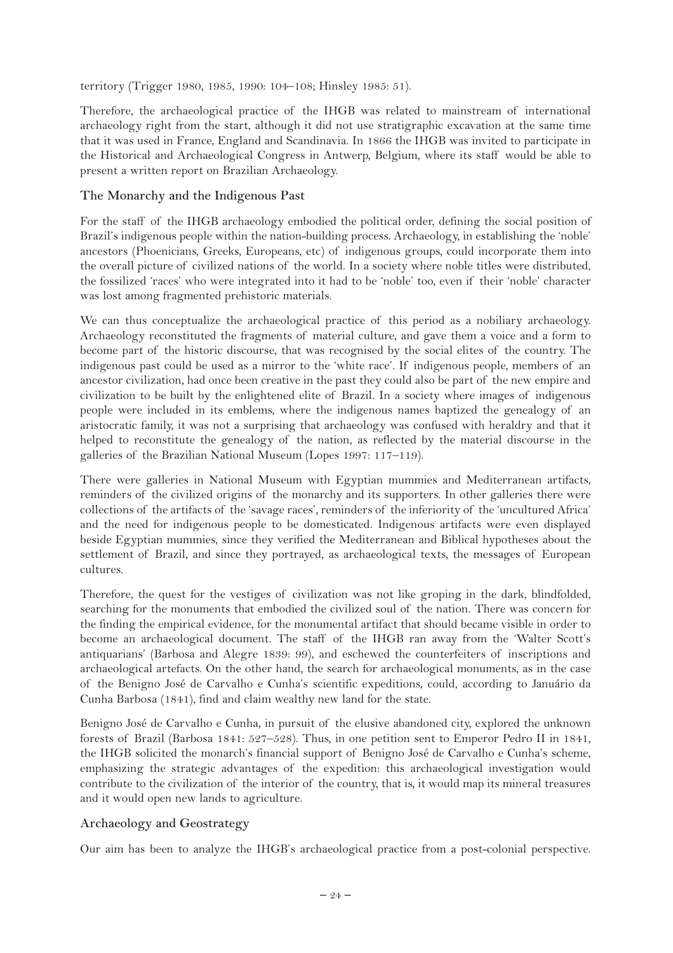territory (Trigger 1980, 1985, 1990: 104–108; Hinsley 1985: 51).

Therefore, the archaeological practice of the IHGB was related to mainstream of international archaeology right from the start, although it did not use stratigraphic excavation at the same time that it was used in France, England and Scandinavia. In 1866 the IHGB was invited to participate in the Historical and Archaeological Congress in Antwerp, Belgium, where its staff would be able to present a written report on Brazilian Archaeology.

### **The Monarchy and the Indigenous Past**

For the staff of the IHGB archaeology embodied the political order, defining the social position of Brazil's indigenous people within the nation-building process. Archaeology, in establishing the 'noble' ancestors (Phoenicians, Greeks, Europeans, etc) of indigenous groups, could incorporate them into the overall picture of civilized nations of the world. In a society where noble titles were distributed, the fossilized 'races' who were integrated into it had to be 'noble' too, even if their 'noble' character was lost among fragmented prehistoric materials.

We can thus conceptualize the archaeological practice of this period as a nobiliary archaeology. Archaeology reconstituted the fragments of material culture, and gave them a voice and a form to become part of the historic discourse, that was recognised by the social elites of the country. The indigenous past could be used as a mirror to the 'white race'. If indigenous people, members of an ancestor civilization, had once been creative in the past they could also be part of the new empire and civilization to be built by the enlightened elite of Brazil. In a society where images of indigenous people were included in its emblems, where the indigenous names baptized the genealogy of an aristocratic family, it was not a surprising that archaeology was confused with heraldry and that it helped to reconstitute the genealogy of the nation, as reflected by the material discourse in the galleries of the Brazilian National Museum (Lopes 1997: 117–119).

There were galleries in National Museum with Egyptian mummies and Mediterranean artifacts, reminders of the civilized origins of the monarchy and its supporters. In other galleries there were collections of the artifacts of the 'savage races', reminders of the inferiority of the 'uncultured Africa' and the need for indigenous people to be domesticated. Indigenous artifacts were even displayed beside Egyptian mummies, since they verified the Mediterranean and Biblical hypotheses about the settlement of Brazil, and since they portrayed, as archaeological texts, the messages of European cultures.

Therefore, the quest for the vestiges of civilization was not like groping in the dark, blindfolded, searching for the monuments that embodied the civilized soul of the nation. There was concern for the finding the empirical evidence, for the monumental artifact that should became visible in order to become an archaeological document. The staff of the IHGB ran away from the 'Walter Scott's antiquarians' (Barbosa and Alegre 1839: 99), and eschewed the counterfeiters of inscriptions and archaeological artefacts. On the other hand, the search for archaeological monuments, as in the case of the Benigno José de Carvalho e Cunha's scientific expeditions, could, according to Januário da Cunha Barbosa (1841), find and claim wealthy new land for the state.

Benigno José de Carvalho e Cunha, in pursuit of the elusive abandoned city, explored the unknown forests of Brazil (Barbosa 1841: 527–528). Thus, in one petition sent to Emperor Pedro II in 1841, the IHGB solicited the monarch's financial support of Benigno José de Carvalho e Cunha's scheme, emphasizing the strategic advantages of the expedition: this archaeological investigation would contribute to the civilization of the interior of the country, that is, it would map its mineral treasures and it would open new lands to agriculture.

### **Archaeology and Geostrategy**

Our aim has been to analyze the IHGB's archaeological practice from a post-colonial perspective.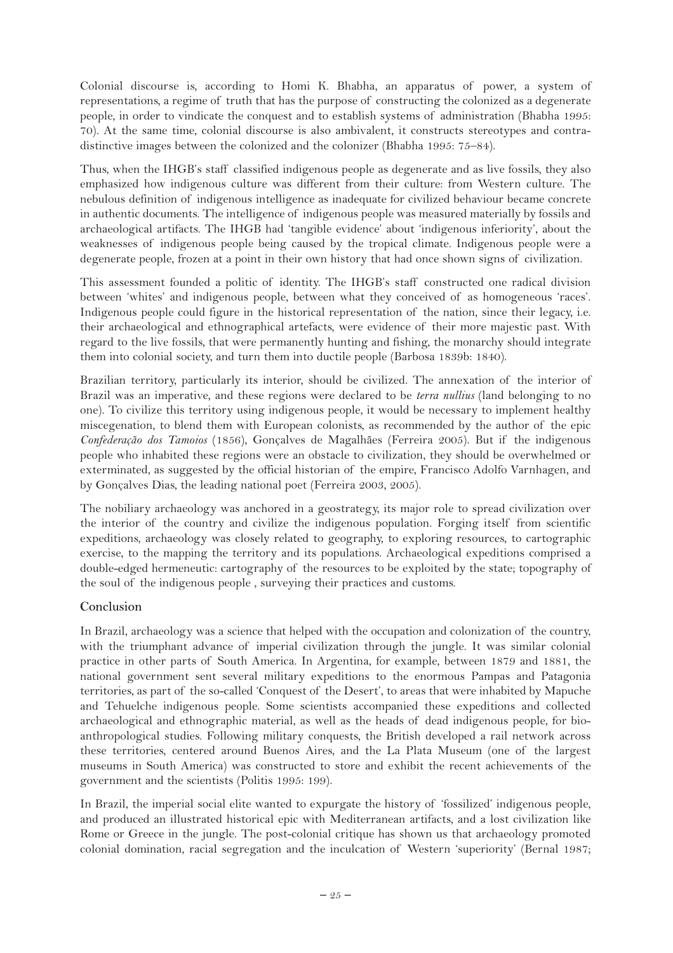Colonial discourse is, according to Homi K. Bhabha, an apparatus of power, a system of representations, a regime of truth that has the purpose of constructing the colonized as a degenerate people, in order to vindicate the conquest and to establish systems of administration (Bhabha 1995: 70). At the same time, colonial discourse is also ambivalent, it constructs stereotypes and contradistinctive images between the colonized and the colonizer (Bhabha 1995: 75–84).

Thus, when the IHGB's staff classified indigenous people as degenerate and as live fossils, they also emphasized how indigenous culture was different from their culture: from Western culture. The nebulous definition of indigenous intelligence as inadequate for civilized behaviour became concrete in authentic documents. The intelligence of indigenous people was measured materially by fossils and archaeological artifacts. The IHGB had 'tangible evidence' about 'indigenous inferiority', about the weaknesses of indigenous people being caused by the tropical climate. Indigenous people were a degenerate people, frozen at a point in their own history that had once shown signs of civilization.

This assessment founded a politic of identity. The IHGB's staff constructed one radical division between 'whites' and indigenous people, between what they conceived of as homogeneous 'races'. Indigenous people could figure in the historical representation of the nation, since their legacy, i.e. their archaeological and ethnographical artefacts, were evidence of their more majestic past. With regard to the live fossils, that were permanently hunting and fishing, the monarchy should integrate them into colonial society, and turn them into ductile people (Barbosa 1839b: 1840).

Brazilian territory, particularly its interior, should be civilized. The annexation of the interior of Brazil was an imperative, and these regions were declared to be *terra nullius* (land belonging to no one). To civilize this territory using indigenous people, it would be necessary to implement healthy miscegenation, to blend them with European colonists, as recommended by the author of the epic *Confederação dos Tamoios* (1856), Gonçalves de Magalhães (Ferreira 2005). But if the indigenous people who inhabited these regions were an obstacle to civilization, they should be overwhelmed or exterminated, as suggested by the official historian of the empire, Francisco Adolfo Varnhagen, and by Gonçalves Dias, the leading national poet (Ferreira 2003, 2005).

The nobiliary archaeology was anchored in a geostrategy, its major role to spread civilization over the interior of the country and civilize the indigenous population. Forging itself from scientific expeditions, archaeology was closely related to geography, to exploring resources, to cartographic exercise, to the mapping the territory and its populations. Archaeological expeditions comprised a double-edged hermeneutic: cartography of the resources to be exploited by the state; topography of the soul of the indigenous people , surveying their practices and customs.

### **Conclusion**

In Brazil, archaeology was a science that helped with the occupation and colonization of the country, with the triumphant advance of imperial civilization through the jungle. It was similar colonial practice in other parts of South America. In Argentina, for example, between 1879 and 1881, the national government sent several military expeditions to the enormous Pampas and Patagonia territories, as part of the so-called 'Conquest of the Desert', to areas that were inhabited by Mapuche and Tehuelche indigenous people. Some scientists accompanied these expeditions and collected archaeological and ethnographic material, as well as the heads of dead indigenous people, for bioanthropological studies. Following military conquests, the British developed a rail network across these territories, centered around Buenos Aires, and the La Plata Museum (one of the largest museums in South America) was constructed to store and exhibit the recent achievements of the government and the scientists (Politis 1995: 199).

In Brazil, the imperial social elite wanted to expurgate the history of 'fossilized' indigenous people, and produced an illustrated historical epic with Mediterranean artifacts, and a lost civilization like Rome or Greece in the jungle. The post-colonial critique has shown us that archaeology promoted colonial domination, racial segregation and the inculcation of Western 'superiority' (Bernal 1987;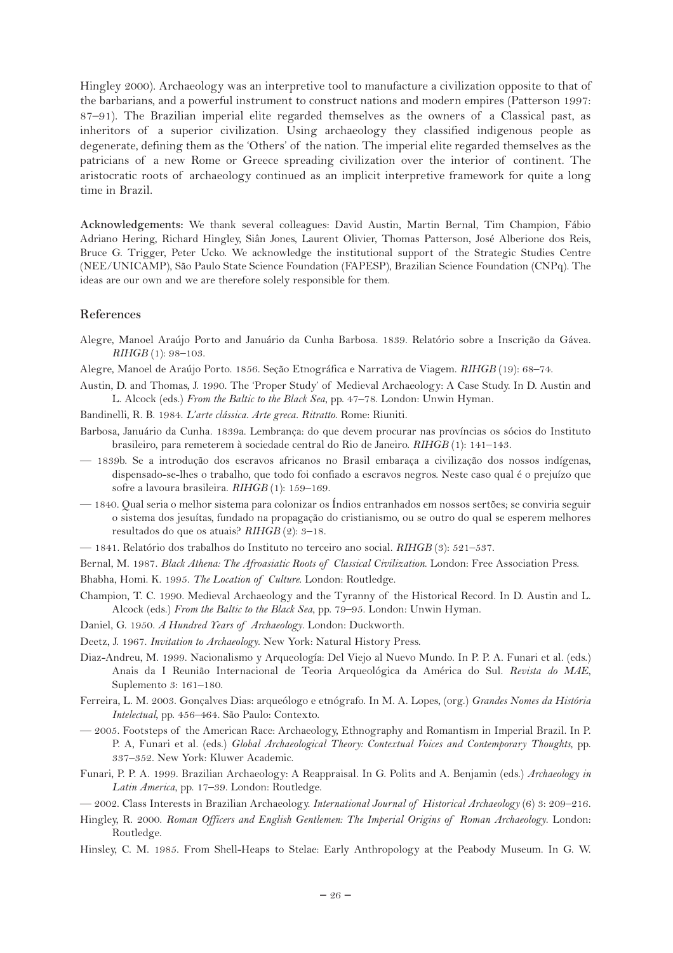Hingley 2000). Archaeology was an interpretive tool to manufacture a civilization opposite to that of the barbarians, and a powerful instrument to construct nations and modern empires (Patterson 1997: 87–91). The Brazilian imperial elite regarded themselves as the owners of a Classical past, as inheritors of a superior civilization. Using archaeology they classified indigenous people as degenerate, defining them as the 'Others' of the nation. The imperial elite regarded themselves as the patricians of a new Rome or Greece spreading civilization over the interior of continent. The aristocratic roots of archaeology continued as an implicit interpretive framework for quite a long time in Brazil.

**Acknowledgements:** We thank several colleagues: David Austin, Martin Bernal, Tim Champion, Fábio Adriano Hering, Richard Hingley, Siân Jones, Laurent Olivier, Thomas Patterson, José Alberione dos Reis, Bruce G. Trigger, Peter Ucko. We acknowledge the institutional support of the Strategic Studies Centre (NEE/UNICAMP), São Paulo State Science Foundation (FAPESP), Brazilian Science Foundation (CNPq). The ideas are our own and we are therefore solely responsible for them.

#### **References**

- Alegre, Manoel Araújo Porto and Januário da Cunha Barbosa. 1839. Relatório sobre a Inscrição da Gávea. *RIHGB* (1): 98–103.
- Alegre, Manoel de Araújo Porto. 1856. Seção Etnográfica e Narrativa de Viagem. *RIHGB* (19): 68–74.
- Austin, D. and Thomas, J. 1990. The 'Proper Study' of Medieval Archaeology: A Case Study. In D. Austin and L. Alcock (eds.) *From the Baltic to the Black Sea*, pp. 47–78. London: Unwin Hyman.
- Bandinelli, R. B. 1984. *L'arte clássica. Arte greca. Ritratto*. Rome: Riuniti.
- Barbosa, Januário da Cunha. 1839a. Lembrança: do que devem procurar nas províncias os sócios do Instituto brasileiro, para remeterem à sociedade central do Rio de Janeiro. *RIHGB* (1): 141–143.
- 1839b. Se a introdução dos escravos africanos no Brasil embaraça a civilização dos nossos indígenas, dispensado-se-lhes o trabalho, que todo foi confiado a escravos negros. Neste caso qual é o prejuízo que sofre a lavoura brasileira. *RIHGB* (1): 159–169.
- 1840. Qual seria o melhor sistema para colonizar os Índios entranhados em nossos sertões; se conviria seguir o sistema dos jesuítas, fundado na propagação do cristianismo, ou se outro do qual se esperem melhores resultados do que os atuais? *RIHGB* (2): 3–18.
- 1841. Relatório dos trabalhos do Instituto no terceiro ano social. *RIHGB* (3): 521–537.
- Bernal, M. 1987. *Black Athena: The Afroasiatic Roots of Classical Civilization*. London: Free Association Press.
- Bhabha, Homi. K. 1995. *The Location of Culture*. London: Routledge.
- Champion, T. C. 1990. Medieval Archaeology and the Tyranny of the Historical Record. In D. Austin and L. Alcock (eds.) *From the Baltic to the Black Sea*, pp. 79–95. London: Unwin Hyman.
- Daniel, G. 1950. *A Hundred Years of Archaeology*. London: Duckworth.
- Deetz, J. 1967. *Invitation to Archaeology*. New York: Natural History Press.
- Diaz-Andreu, M. 1999. Nacionalismo y Arqueología: Del Viejo al Nuevo Mundo. In P. P. A. Funari et al. (eds.) Anais da I Reunião Internacional de Teoria Arqueológica da América do Sul. *Revista do MAE*, Suplemento 3: 161–180.
- Ferreira, L. M. 2003. Gonçalves Dias: arqueólogo e etnógrafo. In M. A. Lopes, (org.) *Grandes Nomes da História Intelectual*, pp. 456–464. São Paulo: Contexto.
- 2005. Footsteps of the American Race: Archaeology, Ethnography and Romantism in Imperial Brazil. In P. P. A, Funari et al. (eds.) *Global Archaeological Theory: Contextual Voices and Contemporary Thoughts*, pp. 337–352. New York: Kluwer Academic.
- Funari, P. P. A. 1999. Brazilian Archaeology: A Reappraisal. In G. Polits and A. Benjamin (eds.) *Archaeology in Latin America*, pp. 17–39. London: Routledge.
- 2002. Class Interests in Brazilian Archaeology. *International Journal of Historical Archaeology* (6) 3: 209–216.
- Hingley, R. 2000. *Roman Officers and English Gentlemen: The Imperial Origins of Roman Archaeology*. London: Routledge.
- Hinsley, C. M. 1985. From Shell-Heaps to Stelae: Early Anthropology at the Peabody Museum. In G. W.